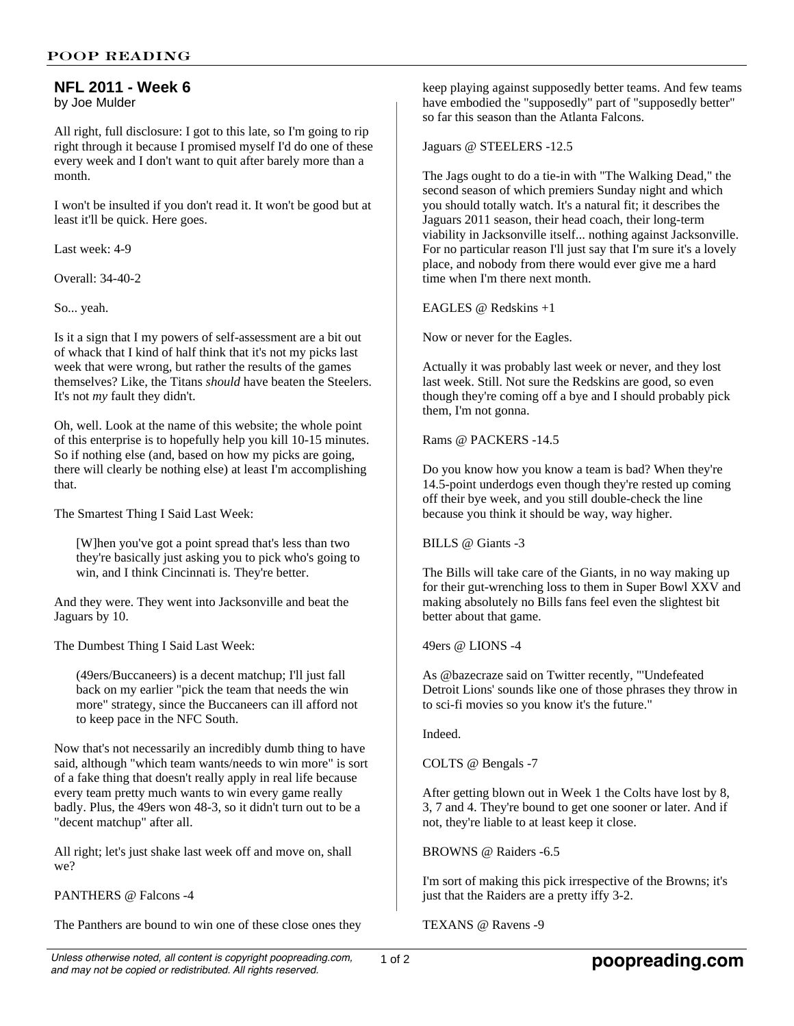## **NFL 2011 - Week 6**

by Joe Mulder

All right, full disclosure: I got to this late, so I'm going to rip right through it because I promised myself I'd do one of these every week and I don't want to quit after barely more than a month.

I won't be insulted if you don't read it. It won't be good but at least it'll be quick. Here goes.

Last week: 4-9

Overall: 34-40-2

So... yeah.

Is it a sign that I my powers of self-assessment are a bit out of whack that I kind of half think that it's not my picks last week that were wrong, but rather the results of the games themselves? Like, the Titans *should* have beaten the Steelers. It's not *my* fault they didn't.

Oh, well. Look at the name of this website; the whole point of this enterprise is to hopefully help you kill 10-15 minutes. So if nothing else (and, based on how my picks are going, there will clearly be nothing else) at least I'm accomplishing that.

The Smartest Thing I Said Last Week:

[W]hen you've got a point spread that's less than two they're basically just asking you to pick who's going to win, and I think Cincinnati is. They're better.

And they were. They went into Jacksonville and beat the Jaguars by 10.

The Dumbest Thing I Said Last Week:

(49ers/Buccaneers) is a decent matchup; I'll just fall back on my earlier "pick the team that needs the win more" strategy, since the Buccaneers can ill afford not to keep pace in the NFC South.

Now that's not necessarily an incredibly dumb thing to have said, although "which team wants/needs to win more" is sort of a fake thing that doesn't really apply in real life because every team pretty much wants to win every game really badly. Plus, the 49ers won 48-3, so it didn't turn out to be a "decent matchup" after all.

All right; let's just shake last week off and move on, shall we?

PANTHERS @ Falcons -4

The Panthers are bound to win one of these close ones they

keep playing against supposedly better teams. And few teams have embodied the "supposedly" part of "supposedly better" so far this season than the Atlanta Falcons.

Jaguars @ STEELERS -12.5

The Jags ought to do a tie-in with "The Walking Dead," the second season of which premiers Sunday night and which you should totally watch. It's a natural fit; it describes the Jaguars 2011 season, their head coach, their long-term viability in Jacksonville itself... nothing against Jacksonville. For no particular reason I'll just say that I'm sure it's a lovely place, and nobody from there would ever give me a hard time when I'm there next month.

EAGLES @ Redskins +1

Now or never for the Eagles.

Actually it was probably last week or never, and they lost last week. Still. Not sure the Redskins are good, so even though they're coming off a bye and I should probably pick them, I'm not gonna.

Rams @ PACKERS -14.5

Do you know how you know a team is bad? When they're 14.5-point underdogs even though they're rested up coming off their bye week, and you still double-check the line because you think it should be way, way higher.

BILLS @ Giants -3

The Bills will take care of the Giants, in no way making up for their gut-wrenching loss to them in Super Bowl XXV and making absolutely no Bills fans feel even the slightest bit better about that game.

49ers @ LIONS -4

As @bazecraze said on Twitter recently, "'Undefeated Detroit Lions' sounds like one of those phrases they throw in to sci-fi movies so you know it's the future."

Indeed.

COLTS @ Bengals -7

After getting blown out in Week 1 the Colts have lost by 8, 3, 7 and 4. They're bound to get one sooner or later. And if not, they're liable to at least keep it close.

BROWNS @ Raiders -6.5

I'm sort of making this pick irrespective of the Browns; it's just that the Raiders are a pretty iffy 3-2.

TEXANS @ Ravens -9